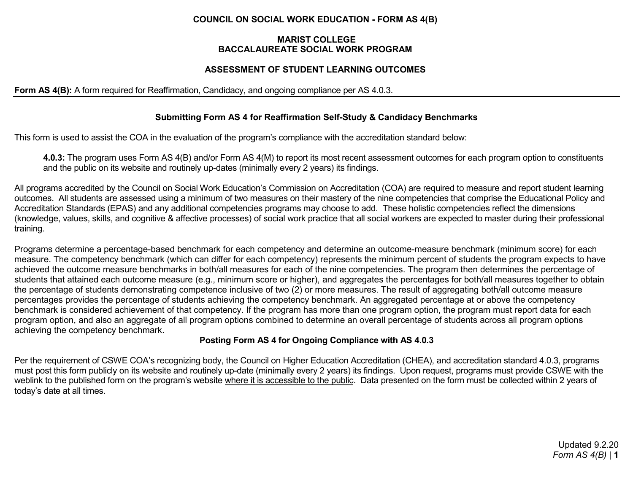## **COUNCIL ON SOCIAL WORK EDUCATION - FORM AS 4(B)**

#### **MARIST COLLEGE BACCALAUREATE SOCIAL WORK PROGRAM**

## **ASSESSMENT OF STUDENT LEARNING OUTCOMES**

#### **Form AS 4(B):** A form required for Reaffirmation, Candidacy, and ongoing compliance per AS 4.0.3.

### **Submitting Form AS 4 for Reaffirmation Self-Study & Candidacy Benchmarks**

This form is used to assist the COA in the evaluation of the program's compliance with the accreditation standard below:

**4.0.3:** The program uses Form AS 4(B) and/or Form AS 4(M) to report its most recent assessment outcomes for each program option to constituents and the public on its website and routinely up-dates (minimally every 2 years) its findings.

All programs accredited by the Council on Social Work Education's Commission on Accreditation (COA) are required to measure and report student learning outcomes. All students are assessed using a minimum of two measures on their mastery of the nine competencies that comprise the Educational Policy and Accreditation Standards (EPAS) and any additional competencies programs may choose to add. These holistic competencies reflect the dimensions (knowledge, values, skills, and cognitive & affective processes) of social work practice that all social workers are expected to master during their professional training.

Programs determine a percentage-based benchmark for each competency and determine an outcome-measure benchmark (minimum score) for each measure. The competency benchmark (which can differ for each competency) represents the minimum percent of students the program expects to have achieved the outcome measure benchmarks in both/all measures for each of the nine competencies. The program then determines the percentage of students that attained each outcome measure (e.g., minimum score or higher), and aggregates the percentages for both/all measures together to obtain the percentage of students demonstrating competence inclusive of two (2) or more measures. The result of aggregating both/all outcome measure percentages provides the percentage of students achieving the competency benchmark. An aggregated percentage at or above the competency benchmark is considered achievement of that competency. If the program has more than one program option, the program must report data for each program option, and also an aggregate of all program options combined to determine an overall percentage of students across all program options achieving the competency benchmark.

## **Posting Form AS 4 for Ongoing Compliance with AS 4.0.3**

Per the requirement of CSWE COA's recognizing body, the Council on Higher Education Accreditation (CHEA), and accreditation standard 4.0.3, programs must post this form publicly on its website and routinely up-date (minimally every 2 years) its findings. Upon request, programs must provide CSWE with the weblink to the published form on the program's website where it is accessible to the public. Data presented on the form must be collected within 2 years of today's date at all times.

> Updated 9.2.20 *Form AS 4(B)* | **1**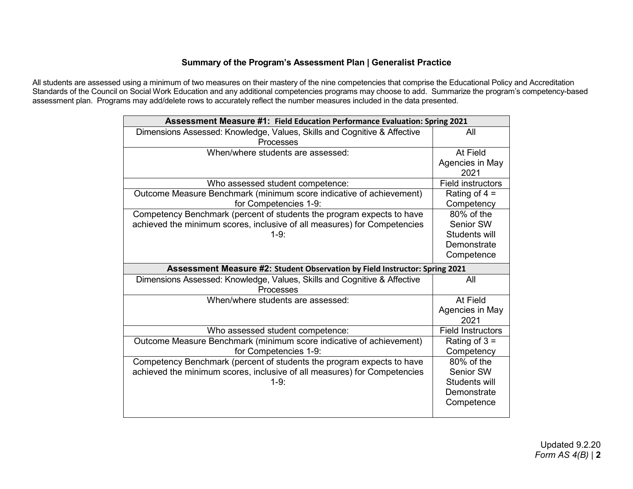## **Summary of the Program's Assessment Plan | Generalist Practice**

All students are assessed using a minimum of two measures on their mastery of the nine competencies that comprise the Educational Policy and Accreditation Standards of the Council on Social Work Education and any additional competencies programs may choose to add. Summarize the program's competency-based assessment plan. Programs may add/delete rows to accurately reflect the number measures included in the data presented.

| Assessment Measure #1: Field Education Performance Evaluation: Spring 2021  |                          |
|-----------------------------------------------------------------------------|--------------------------|
| Dimensions Assessed: Knowledge, Values, Skills and Cognitive & Affective    | All                      |
| Processes                                                                   |                          |
| When/where students are assessed:                                           | At Field                 |
|                                                                             | Agencies in May          |
|                                                                             | 2021                     |
| Who assessed student competence:                                            | <b>Field instructors</b> |
| Outcome Measure Benchmark (minimum score indicative of achievement)         | Rating of $4 =$          |
| for Competencies 1-9:                                                       | Competency               |
| Competency Benchmark (percent of students the program expects to have       | 80% of the               |
| achieved the minimum scores, inclusive of all measures) for Competencies    | Senior SW                |
| $1-9.$                                                                      | Students will            |
|                                                                             | Demonstrate              |
|                                                                             | Competence               |
| Assessment Measure #2: Student Observation by Field Instructor: Spring 2021 |                          |
| Dimensions Assessed: Knowledge, Values, Skills and Cognitive & Affective    | All                      |
| <b>Processes</b>                                                            |                          |
| When/where students are assessed:                                           | At Field                 |
|                                                                             | Agencies in May          |
|                                                                             | 2021                     |
|                                                                             |                          |
| Who assessed student competence:                                            | <b>Field Instructors</b> |
| Outcome Measure Benchmark (minimum score indicative of achievement)         | Rating of $3 =$          |
| for Competencies 1-9:                                                       | Competency               |
| Competency Benchmark (percent of students the program expects to have       | 80% of the               |
| achieved the minimum scores, inclusive of all measures) for Competencies    | Senior SW                |
| $1-9.$                                                                      | Students will            |
|                                                                             | Demonstrate              |
|                                                                             | Competence               |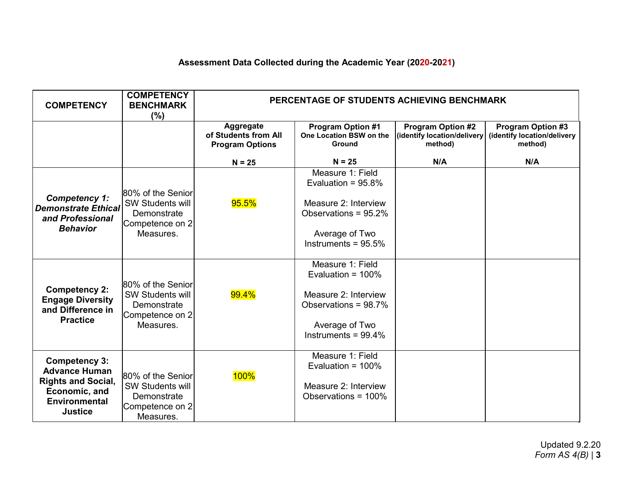# **Assessment Data Collected during the Academic Year (2020-2021)**

| <b>COMPETENCY</b>                                                                                                                    | <b>COMPETENCY</b><br><b>BENCHMARK</b><br>$(\% )$                                            | PERCENTAGE OF STUDENTS ACHIEVING BENCHMARK                  |                                                                                                                                       |                                                                    |                                                             |
|--------------------------------------------------------------------------------------------------------------------------------------|---------------------------------------------------------------------------------------------|-------------------------------------------------------------|---------------------------------------------------------------------------------------------------------------------------------------|--------------------------------------------------------------------|-------------------------------------------------------------|
|                                                                                                                                      |                                                                                             | Aggregate<br>of Students from All<br><b>Program Options</b> | <b>Program Option #1</b><br>One Location BSW on the<br><b>Ground</b>                                                                  | <b>Program Option #2</b><br>(identify location/delivery<br>method) | Program Option #3<br>(identify location/delivery<br>method) |
|                                                                                                                                      |                                                                                             | $N = 25$                                                    | $N = 25$                                                                                                                              | N/A                                                                | N/A                                                         |
| <b>Competency 1:</b><br><b>Demonstrate Ethical</b><br>and Professional<br><b>Behavior</b>                                            | 80% of the Senior<br><b>SW Students will</b><br>Demonstrate<br>Competence on 2<br>Measures. | 95.5%                                                       | Measure 1: Field<br>Evaluation = $95.8\%$<br>Measure 2: Interview<br>Observations = 95.2%<br>Average of Two<br>Instruments = $95.5\%$ |                                                                    |                                                             |
| <b>Competency 2:</b><br><b>Engage Diversity</b><br>and Difference in<br><b>Practice</b>                                              | 80% of the Senior<br><b>SW Students will</b><br>Demonstrate<br>Competence on 2<br>Measures. | 99.4%                                                       | Measure 1: Field<br>Evaluation = $100\%$<br>Measure 2: Interview<br>Observations = 98.7%<br>Average of Two<br>Instruments = $99.4\%$  |                                                                    |                                                             |
| <b>Competency 3:</b><br><b>Advance Human</b><br><b>Rights and Social,</b><br>Economic, and<br><b>Environmental</b><br><b>Justice</b> | 80% of the Senior<br><b>SW Students will</b><br>Demonstrate<br>Competence on 2<br>Measures. | 100%                                                        | Measure 1: Field<br>Evaluation = $100\%$<br>Measure 2: Interview<br>Observations = 100%                                               |                                                                    |                                                             |

Updated 9.2.20 *Form AS 4(B)* | **3**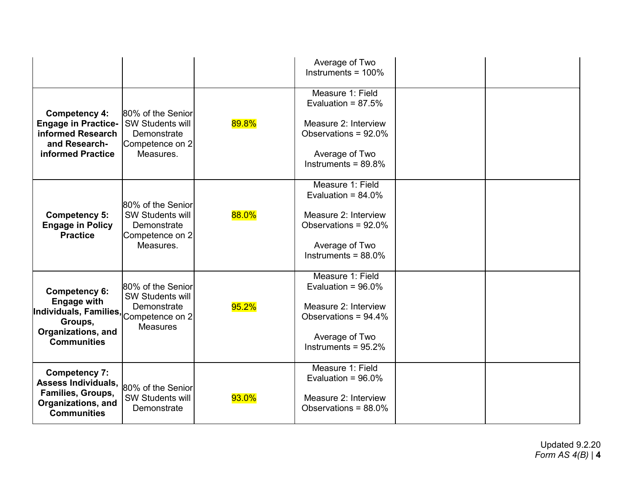|                                                                                                                             |                                                                                                   |       | Average of Two<br>Instruments = $100\%$                                                                                                 |  |
|-----------------------------------------------------------------------------------------------------------------------------|---------------------------------------------------------------------------------------------------|-------|-----------------------------------------------------------------------------------------------------------------------------------------|--|
| <b>Competency 4:</b><br><b>Engage in Practice-</b><br>informed Research<br>and Research-<br>informed Practice               | 80% of the Senior<br><b>SW Students will</b><br>Demonstrate<br>Competence on 2<br>Measures.       | 89.8% | Measure 1: Field<br>Evaluation = $87.5%$<br>Measure 2: Interview<br>Observations = $92.0\%$<br>Average of Two<br>Instruments = $89.8\%$ |  |
| <b>Competency 5:</b><br><b>Engage in Policy</b><br><b>Practice</b>                                                          | 80% of the Senior<br>SW Students will<br>Demonstrate<br>Competence on 2<br>Measures.              | 88.0% | Measure 1: Field<br>Evaluation = $84.0\%$<br>Measure 2: Interview<br>Observations = 92.0%<br>Average of Two<br>Instruments = $88.0\%$   |  |
| <b>Competency 6:</b><br><b>Engage with</b><br>Individuals, Families,<br>Groups,<br>Organizations, and<br><b>Communities</b> | 80% of the Senior<br><b>SW Students will</b><br>Demonstrate<br>Competence on 2<br><b>Measures</b> | 95.2% | Measure 1: Field<br>Evaluation = $96.0\%$<br>Measure 2: Interview<br>Observations = 94.4%<br>Average of Two<br>Instruments = $95.2\%$   |  |
| <b>Competency 7:</b><br><b>Assess Individuals,</b><br>Families, Groups,<br>Organizations, and<br><b>Communities</b>         | 80% of the Senior<br><b>SW Students will</b><br>Demonstrate                                       | 93.0% | Measure 1: Field<br>Evaluation = $96.0\%$<br>Measure 2: Interview<br>Observations = $88.0\%$                                            |  |